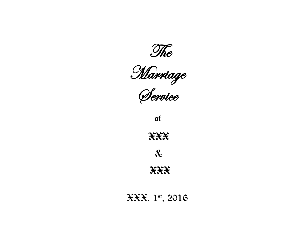

Marriage

Service

of

XXX

&

XXX

XXX. 1st, 2016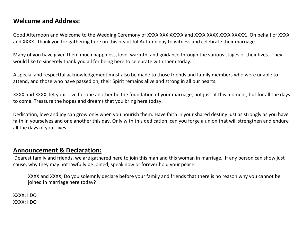## **Welcome and Address:**

Good Afternoon and Welcome to the Wedding Ceremony of XXXX XXX XXXXX and XXXX XXXX XXXX XXXXX. On behalf of XXXX and XXXX I thank you for gathering here on this beautiful Autumn day to witness and celebrate their marriage.

Many of you have given them much happiness, love, warmth, and guidance through the various stages of their lives. They would like to sincerely thank you all for being here to celebrate with them today.

A special and respectful acknowledgement must also be made to those friends and family members who were unable to attend, and those who have passed on, their Spirit remains alive and strong in all our hearts.

XXXX and XXXX, let your love for one another be the foundation of your marriage, not just at this moment, but for all the days to come. Treasure the hopes and dreams that you bring here today.

Dedication, love and joy can grow only when you nourish them. Have faith in your shared destiny just as strongly as you have faith in yourselves and one another this day. Only with this dedication, can you forge a union that will strengthen and endure all the days of your lives.

## **Announcement & Declaration:**

Dearest family and friends, we are gathered here to join this man and this woman in marriage. If any person can show just cause, why they may not lawfully be joined, speak now or forever hold your peace.

XXXX and XXXX, Do you solemnly declare before your family and friends that there is no reason why you cannot be joined in marriage here today?

XXXX: I DO XXXX: I DO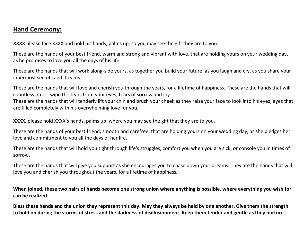# **Hand Ceremony:**

**XXXX** please face XXXX and hold his hands, palms up, so you may see the gift they are to you.

These are the hands of your best friend, warm and strong and vibrant with love, that are holding yours on your wedding day, as he promises to love you all the days of his life.

These are the hands that will work along-side yours, as together you build your future, as you laugh and cry, as you share your innermost secrets and dreams.

These are the hands that will love and cherish you through the years, for a lifetime of happiness. These are the hands that will countless times, wipe the tears from your eyes; tears of sorrow and joy.

These are the hands that will tenderly lift your chin and brush your cheek as they raise your face to look into his eyes; eyes that are filled completely with his overwhelming love for you.

**XXXX,** please hold XXXX's hands, palms up, where you may see the gift that they are to you.

These are the hands of your best friend, smooth and carefree, that are holding yours on your wedding day, as she pledges her love and commitment to you all the days of her life.

These are the hands that will hold you tight through life's struggles, comfort you when you are sick, or console you in times of sorrow.

These are the hands that will give you support as she encourages you to chase down your dreams. They are the hands that will love you and cherish you throughout the years, for a lifetime of happiness.

**When joined, these two pairs of hands become one strong union where anything is possible, where everything you wish for can be realized.**

**Bless these hands and the union they represent this day. May they always be held by one another. Give them the strength to hold on during the storms of stress and the darkness of disillusionment. Keep them tender and gentle as they nurture**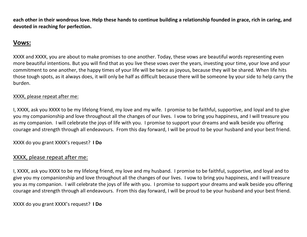**each other in their wondrous love. Help these hands to continue building a relationship founded in grace, rich in caring, and devoted in reaching for perfection.** 

# **Vows:**

XXXX and XXXX, you are about to make promises to one another. Today, these vows are beautiful words representing even more beautiful intentions. But you will find that as you live these vows over the years, investing your time, your love and your commitment to one another, the happy times of your life will be twice as joyous, because they will be shared. When life hits those tough spots, as it always does, it will only be half as difficult because there will be someone by your side to help carry the burden.

#### XXXX, please repeat after me:

I, XXXX, ask you XXXX to be my lifelong friend, my love and my wife. I promise to be faithful, supportive, and loyal and to give you my companionship and love throughout all the changes of our lives. I vow to bring you happiness, and I will treasure you as my companion. I will celebrate the joys of life with you. I promise to support your dreams and walk beside you offering courage and strength through all endeavours. From this day forward, I will be proud to be your husband and your best friend.

XXXX do you grant XXXX's request? **I Do**

### XXXX, please repeat after me:

I, XXXX, ask you XXXX to be my lifelong friend, my love and my husband. I promise to be faithful, supportive, and loyal and to give you my companionship and love throughout all the changes of our lives. I vow to bring you happiness, and I will treasure you as my companion. I will celebrate the joys of life with you. I promise to support your dreams and walk beside you offering courage and strength through all endeavours. From this day forward, I will be proud to be your husband and your best friend.

XXXX do you grant XXXX's request? **I Do**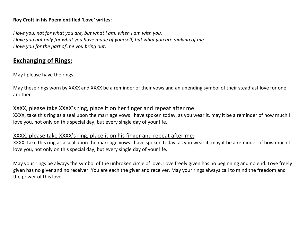#### **Roy Croft in his Poem entitled 'Love' writes:**

*I love you, not for what you are, but what I am, when I am with you. I love you not only for what you have made of yourself, but what you are making of me. I love you for the part of me you bring out.*

# **Exchanging of Rings:**

May I please have the rings.

May these rings worn by XXXX and XXXX be a reminder of their vows and an unending symbol of their steadfast love for one another.

### XXXX, please take XXXX's ring, place it on her finger and repeat after me:

XXXX, take this ring as a seal upon the marriage vows I have spoken today, as you wear it, may it be a reminder of how much I love you, not only on this special day, but every single day of your life.

### XXXX, please take XXXX's ring, place it on his finger and repeat after me:

XXXX, take this ring as a seal upon the marriage vows I have spoken today, as you wear it, may it be a reminder of how much I love you, not only on this special day, but every single day of your life.

May your rings be always the symbol of the unbroken circle of love. Love freely given has no beginning and no end. Love freely given has no giver and no receiver. You are each the giver and receiver. May your rings always call to mind the freedom and the power of this love.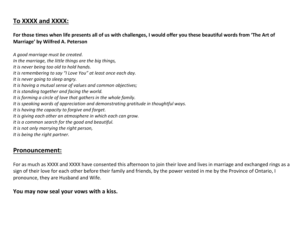# **To XXXX and XXXX:**

**For those times when life presents all of us with challenges, I would offer you these beautiful words from 'The Art of Marriage' by Wilfred A. Peterson**

*A good marriage must be created. In the marriage, the little things are the big things, It is never being too old to hold hands. It is remembering to say "I Love You" at least once each day. It is never going to sleep angry. It is having a mutual sense of values and common objectives; It is standing together and facing the world. It is forming a circle of love that gathers in the whole family. It is speaking words of appreciation and demonstrating gratitude in thoughtful ways. It is having the capacity to forgive and forget. It is giving each other an atmosphere in which each can grow. It is a common search for the good and beautiful. It is not only marrying the right person, It is being the right partner.*

## **Pronouncement:**

For as much as XXXX and XXXX have consented this afternoon to join their love and lives in marriage and exchanged rings as a sign of their love for each other before their family and friends, by the power vested in me by the Province of Ontario, I pronounce, they are Husband and Wife.

### **You may now seal your vows with a kiss.**